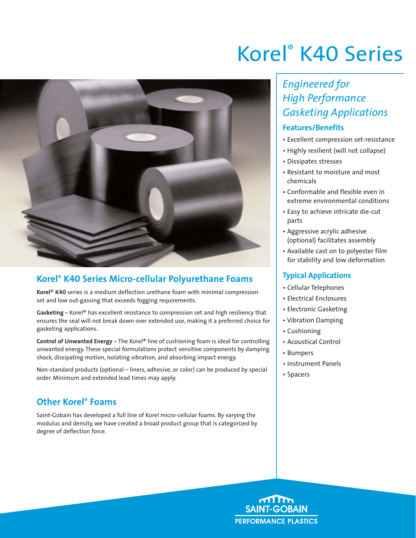

### **Korel® K40 Series Micro-cellular Polyurethane Foams**

**Korel**® **K40** series is a medium deflection urethane foam with minimal compression set and low out-gassing that exceeds fogging requirements.

**Gasketing** – Korel® has excellent resistance to compression set and high resiliency that ensures the seal will not break down over extended use, making it a preferred choice for gasketing applications.

**Control of Unwanted Energy** – The Korel® line of cushioning foam is ideal for controlling unwanted energy. These special formulations protect sensitive components by damping shock, dissipating motion, isolating vibration, and absorbing impact energy.

Non-standard products (optional – liners, adhesive, or color) can be produced by special order. Minimum and extended lead times may apply.

### **Other Korel® Foams**

Saint-Gobain has developed a full line of Korel micro-cellular foams. By varying the modulus and density, we have created a broad product group that is categorized by degree of deflection force.

# Korel® K40 Series

## *Engineered for High Performance Gasketing Applications*

### **Features/Benefits**

- Excellent compression set-resistance
- Highly resilient (will not collapse)
- Dissipates stresses
- Resistant to moisture and most chemicals
- Conformable and flexible even in extreme environmental conditions
- Easy to achieve intricate die-cut parts
- Aggressive acrylic adhesive (optional) facilitates assembly
- Available cast on to polyester film for stability and low deformation

### **Typical Applications**

- Cellular Telephones
- Electrical Enclosures
- Electronic Gasketing
- Vibration Damping
- Cushioning
- Acoustical Control
- Bumpers
- Instrument Panels
- Spacers

**SAINT-GOBAIN PERFORMANCE PLASTICS**